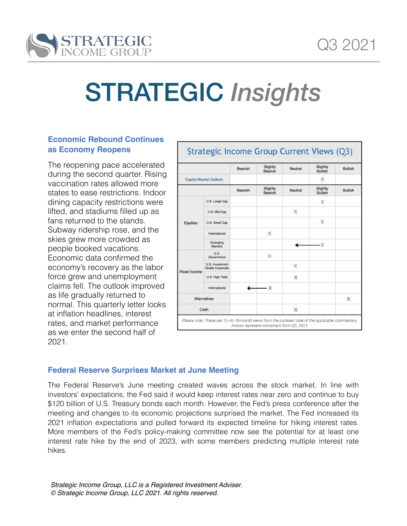

# STRATEGIC *Insights*

# **Economic Rebound Continues as Economy Reopens**

The reopening pace accelerated during the second quarter. Rising vaccination rates allowed more states to ease restrictions. Indoor dining capacity restrictions were lifted, and stadiums filled up as fans returned to the stands. Subway ridership rose, and the skies grew more crowded as people booked vacations. Economic data confirmed the economy's recovery as the labor force grew and unemployment claims fell. The outlook improved as life gradually returned to normal. This quarterly letter looks at inflation headlines, interest rates, and market performance as we enter the second half of 2021.

|                               |                                           | Bearish | Slightly<br>Bearish | Neutral | Slightly<br><b>Bullish</b> | <b>Bullish</b> |
|-------------------------------|-------------------------------------------|---------|---------------------|---------|----------------------------|----------------|
| <b>Capital Market Outlook</b> |                                           |         |                     |         | x                          |                |
|                               |                                           | Bearish | Slightly<br>Bearish | Neutral | Slightly<br><b>Bullish</b> | <b>Bullish</b> |
| <b>Equities</b>               | U.S. Large Cap                            |         |                     |         | x                          |                |
|                               | U.S. Mid Cap                              |         |                     | x       |                            |                |
|                               | U.S. Small Cap                            |         |                     |         | x                          |                |
|                               | International                             |         | x                   |         |                            |                |
|                               | Emerging<br>Markets                       |         |                     |         | -х                         |                |
| <b>Fixed Income</b>           | U.S.<br>Government                        |         | x                   |         |                            |                |
|                               | U.S. Investment<br><b>Grade Corporate</b> |         |                     | x       |                            |                |
|                               | U.S. High Yield                           |         |                     | x       |                            |                |
|                               | International                             |         | - х                 |         |                            |                |
| <b>Alternatives</b>           |                                           |         |                     |         |                            | x              |
| Cash                          |                                           |         |                     | x       |                            |                |

# **Federal Reserve Surprises Market at June Meeting**

The Federal Reserve's June meeting created waves across the stock market. In line with investors' expectations, the Fed said it would keep interest rates near zero and continue to buy \$120 billion of U.S. Treasury bonds each month. However, the Fed's press conference after the meeting and changes to its economic projections surprised the market. The Fed increased its 2021 inflation expectations and pulled forward its expected timeline for hiking interest rates. More members of the Fed's policy-making committee now see the potential for at least one interest rate hike by the end of 2023, with some members predicting multiple interest rate hikes.

*Strategic Income Group, LLC is a Registered Investment Adviser. © Strategic Income Group, LLC 2021. All rights reserved.*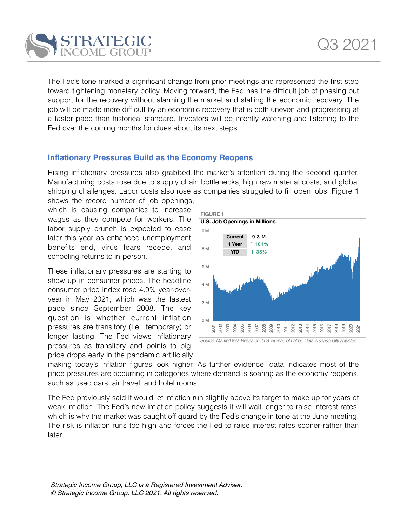

The Fed's tone marked a significant change from prior meetings and represented the first step toward tightening monetary policy. Moving forward, the Fed has the difficult job of phasing out support for the recovery without alarming the market and stalling the economic recovery. The job will be made more difficult by an economic recovery that is both uneven and progressing at a faster pace than historical standard. Investors will be intently watching and listening to the Fed over the coming months for clues about its next steps.

# **Inflationary Pressures Build as the Economy Reopens**

Rising inflationary pressures also grabbed the market's attention during the second quarter. Manufacturing costs rose due to supply chain bottlenecks, high raw material costs, and global shipping challenges. Labor costs also rose as companies struggled to fill open jobs. Figure 1 shows the record number of job openings,

which is causing companies to increase wages as they compete for workers. The labor supply crunch is expected to ease later this year as enhanced unemployment benefits end, virus fears recede, and schooling returns to in-person.

These inflationary pressures are starting to show up in consumer prices. The headline consumer price index rose 4.9% year-overyear in May 2021, which was the fastest pace since September 2008. The key question is whether current inflation pressures are transitory (i.e., temporary) or longer lasting. The Fed views inflationary pressures as transitory and points to big price drops early in the pandemic artificially



*Source: MarketDesk Research, U.S. Bureau of Labor. Data is seasonally adjusted.*

making today's inflation figures look higher. As further evidence, data indicates most of the price pressures are occurring in categories where demand is soaring as the economy reopens, such as used cars, air travel, and hotel rooms.

The Fed previously said it would let inflation run slightly above its target to make up for years of weak inflation. The Fed's new inflation policy suggests it will wait longer to raise interest rates, which is why the market was caught off guard by the Fed's change in tone at the June meeting. The risk is inflation runs too high and forces the Fed to raise interest rates sooner rather than later.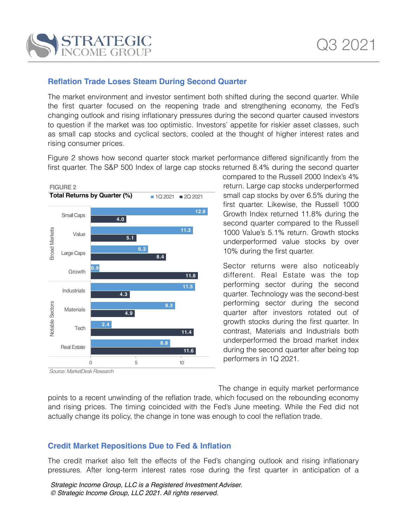

# **Reflation Trade Loses Steam During Second Quarter**

The market environment and investor sentiment both shifted during the second quarter. While the first quarter focused on the reopening trade and strengthening economy, the Fed's changing outlook and rising inflationary pressures during the second quarter caused investors to question if the market was too optimistic. Investors' appetite for riskier asset classes, such as small cap stocks and cyclical sectors, cooled at the thought of higher interest rates and rising consumer prices.

Figure 2 shows how second quarter stock market performance differed significantly from the first quarter. The S&P 500 Index of large cap stocks returned 8.4% during the second quarter



*Source: MarketDeskResearch*

compared to the Russell 2000 Index's 4% return. Large cap stocks underperformed small cap stocks by over 6.5% during the first quarter. Likewise, the Russell 1000 Growth Index returned 11.8% during the second quarter compared to the Russell 1000 Value's 5.1% return. Growth stocks underperformed value stocks by over 10% during the first quarter.

Sector returns were also noticeably different. Real Estate was the top performing sector during the second quarter. Technology was the second-best performing sector during the second quarter after investors rotated out of growth stocks during the first quarter. In contrast, Materials and Industrials both underperformed the broad market index during the second quarter after being top performers in 1Q 2021.

The change in equity market performance points to a recent unwinding of the reflation trade, which focused on the rebounding economy and rising prices. The timing coincided with the Fed's June meeting. While the Fed did not actually change its policy, the change in tone was enough to cool the reflation trade.

## **Credit Market Repositions Due to Fed & Inflation**

The credit market also felt the effects of the Fed's changing outlook and rising inflationary pressures. After long-term interest rates rose during the first quarter in anticipation of a

*Strategic Income Group, LLC is a Registered Investment Adviser. © Strategic Income Group, LLC 2021. All rights reserved.*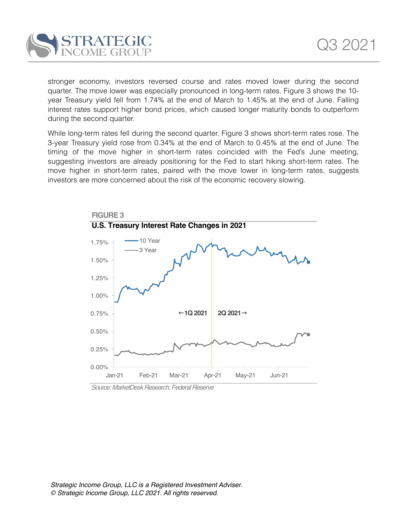

stronger economy, investors reversed course and rates moved lower during the second quarter. The move lower was especially pronounced in long-term rates. Figure 3 shows the 10 year Treasury yield fell from 1.74% at the end of March to 1.45% at the end of June. Falling interest rates support higher bond prices, which caused longer maturity bonds to outperform during the second quarter.

While long-term rates fell during the second quarter, Figure 3 shows short-term rates rose. The 3-year Treasury yield rose from 0.34% at the end of March to 0.45% at the end of June. The timing of the move higher in short-term rates coincided with the Fed's June meeting, suggesting investors are already positioning for the Fed to start hiking short-term rates. The move higher in short-term rates, paired with the move lower in long-term rates, suggests investors are more concerned about the risk of the economic recovery slowing.



*Source: MarketDeskResearch,FederalReserve*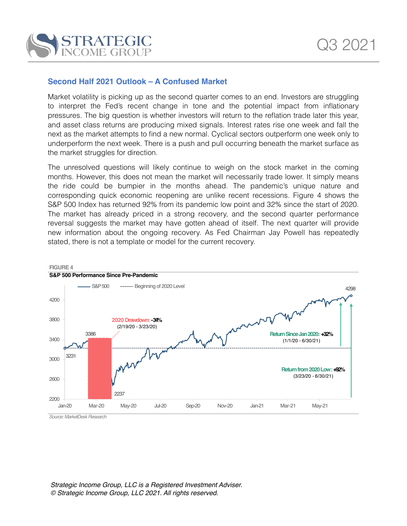

## **Second Half 2021 Outlook – A Confused Market**

Market volatility is picking up as the second quarter comes to an end. Investors are struggling to interpret the Fed's recent change in tone and the potential impact from inflationary pressures. The big question is whether investors will return to the reflation trade later this year, and asset class returns are producing mixed signals. Interest rates rise one week and fall the next as the market attempts to find a new normal. Cyclical sectors outperform one week only to underperform the next week. There is a push and pull occurring beneath the market surface as the market struggles for direction.

The unresolved questions will likely continue to weigh on the stock market in the coming months. However, this does not mean the market will necessarily trade lower. It simply means the ride could be bumpier in the months ahead. The pandemic's unique nature and corresponding quick economic reopening are unlike recent recessions. Figure 4 shows the S&P 500 Index has returned 92% from its pandemic low point and 32% since the start of 2020. The market has already priced in a strong recovery, and the second quarter performance reversal suggests the market may have gotten ahead of itself. The next quarter will provide new information about the ongoing recovery. As Fed Chairman Jay Powell has repeatedly stated, there is not a template or model for the current recovery.

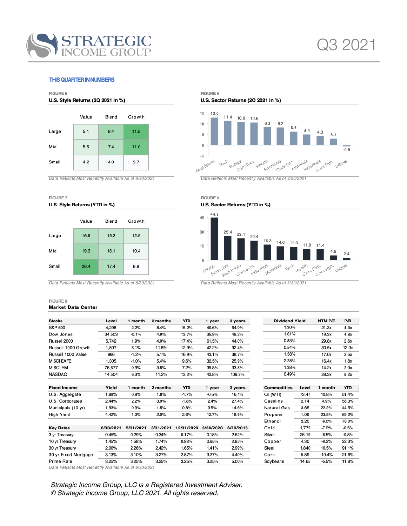

L L,  $\overline{\phantom{a}}$ 

 $\overline{\phantom{0}}$ 

#### **THIS QUARTER IN NUMBERS**

#### FIGURE 5 U.S. Style Returns (2Q 2021 in %)



Data Reflects Most Recently Available As of 6/30/2021

#### FIGURE 7 U.S. Style Returns (YTD in %)



Data Reflects Most Recently Available As of 6/30/2021

#### FIGURE 9 **Market Data Center**

FIGURE 6

U.S. Sector Returns (2Q 2021 in %)



Data Reflects Most Recently Available As of 6/30/2021

FIGURE 8 U.S. Sector Returns (YTD in %)



Data Reflects Most Recently Available As of 6/30/2021

| <b>Stocks</b>        | Level     | 1 month   | 3 months  | <b>YTD</b> | 1 year    | 3 years   | <b>Dividend Yield</b> |       | NTM P/E  | P/B     |
|----------------------|-----------|-----------|-----------|------------|-----------|-----------|-----------------------|-------|----------|---------|
| S&P 500              | 4,298     | 2.2%      | 8.4%      | 15.2%      | 40.6%     | 64.0%     | 1.30%                 |       | 21.3x    | 4.3x    |
| Dow Jones            | 34,503    | $-0.1%$   | 4.9%      | 13.7%      | 35.9%     | 49.2%     | 1.61%                 |       | 19.3x    | 4.8x    |
| Russell 2000         | 5,742     | 1.9%      | 4.0%      | 17.4%      | 61.5%     | 44.0%     | 0.83%                 |       | 29.8x    | 2.6x    |
| Russell 1000 Growth  | 1,807     | 6.1%      | 11.8%     | 12.9%      | 42.2%     | 92.4%     | 0.54%                 |       | 30.5x    | 12.0x   |
| Russell 1000 Value   | 966       | $-1.2%$   | 5.1%      | 16.9%      | 43.1%     | 38.7%     | 1.58%                 |       | 17.0x    | 2.5x    |
| <b>M SCI EAFE</b>    | 1.305     | $-1.0%$   | 5.4%      | 9.6%       | 32.5%     | 25.9%     | 2.28%                 |       | 16.4x    | 1.8x    |
| M SCI EM             | 76.677    | 0.9%      | 3.8%      | 7.2%       | 39.8%     | 33.8%     | 1.38%                 |       | 14.2x    | 2.0x    |
| NASDAQ               | 14,504    | 6.3%      | 11.2%     | 13.2%      | 43.8%     | 109.3%    | 0.49%                 |       | 28.3x    | 8.2x    |
| <b>Fixed Income</b>  | Yield     | 1 month   | 3 months  | YTD        | 1 year    | 3 years   | <b>Commodities</b>    | Level | 1 month  | YTD     |
| U.S. Aggregate       | 1.89%     | 0.8%      | 1.8%      | $-1.7%$    | $-0.5%$   | 16.1%     | Oil (WTI)             | 73.47 | 10.8%    | 51.4%   |
| U.S. Corporates      | 2.44%     | 2.2%      | 3.9%      | $-1.8%$    | 2.4%      | 27.4%     | Gasoline              | 2.14  | 4.9%     | 56.3%   |
| Municipals (10 yr)   | 1.93%     | 0.3%      | 1.5%      | 0.8%       | 3.5%      | 14.6%     | <b>Natural Gas</b>    | 3.65  | 22.2%    | 44.5%   |
| High Yield           | 4.42%     | 1.3%      | 2.0%      | 2.6%       | 12.7%     | 18.6%     | Propane               | 1.09  | 23.5%    | 69.2%   |
|                      |           |           |           |            |           |           | Ethanol               | 2.20  | $-6.0%$  | 76.0%   |
| <b>Key Rates</b>     | 6/30/2021 | 5/31/2021 | 3/31/2021 | 12/31/2020 | 6/30/2020 | 6/30/2018 | Gold                  | 1,772 | $-7.0%$  | $-6.5%$ |
| 3 yr Treasury        | 0.45%     | 0.29%     | 0.34%     | 0.17%      | 0.18%     | 2.62%     | Silver                | 26.19 | $-6.5%$  | $-0.8%$ |
| 10 yr Treasury       | 1.45%     | 1.58%     | 1.74%     | 0.92%      | 0.65%     | 2.85%     | Copper                | 4.30  | $-8.2%$  | 22.3%   |
| 30 yr Treasury       | 2.06%     | 2.26%     | 2.42%     | 1.65%      | 1.41%     | 2.99%     | Steel                 | 1,840 | 10.5%    | 91.1%   |
| 30 yr Fixed Mortgage | 3.13%     | 3.10%     | 3.27%     | 2.87%      | 3.27%     | 4.40%     | Corn                  | 5.89  | $-10.4%$ | 21.6%   |
| Prime Rate           | 3.25%     | 3.25%     | 3.25%     | 3.25%      | 3.25%     | 5.00%     | Soybeans              | 14.65 | $-5.5%$  | 11.8%   |

Data Reflects Most Recently Available As of 6/30/2021

Strategic Income Group, LLC is a Registered Investment Adviser. © Strategic Income Group, LLC 2021. All rights reserved.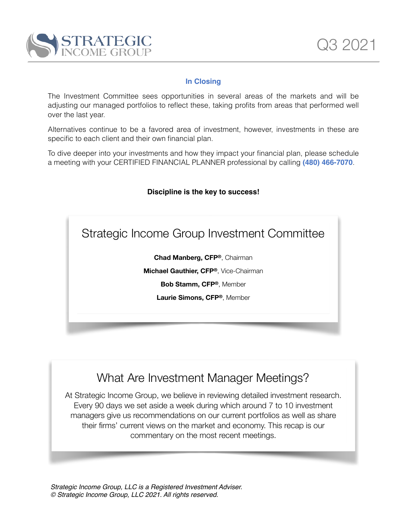

# **In Closing**

The Investment Committee sees opportunities in several areas of the markets and will be adjusting our managed portfolios to reflect these, taking profits from areas that performed well over the last year.

Alternatives continue to be a favored area of investment, however, investments in these are specific to each client and their own financial plan.

To dive deeper into your investments and how they impact your financial plan, please schedule a meeting with your CERTIFIED FINANCIAL PLANNER professional by calling **(480) 466-7070**.

### **Discipline is the key to success!**

Strategic Income Group Investment Committee

**Chad Manberg, CFP®**, Chairman

**Michael Gauthier, CFP®**, Vice-Chairman

**Bob Stamm, CFP®**, Member

**Laurie Simons, CFP®**, Member

# What Are Investment Manager Meetings?

At Strategic Income Group, we believe in reviewing detailed investment research. Every 90 days we set aside a week during which around 7 to 10 investment managers give us recommendations on our current portfolios as well as share their firms' current views on the market and economy. This recap is our commentary on the most recent meetings.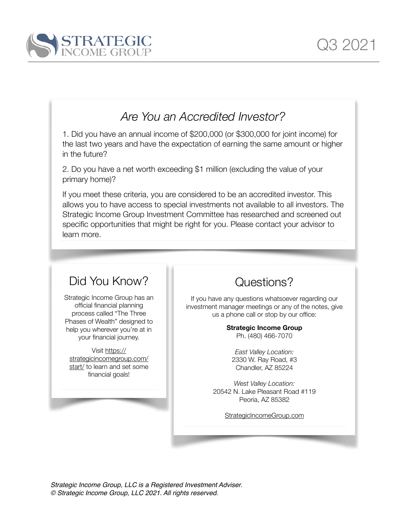

# *Are You an Accredited Investor?*

1. Did you have an annual income of \$200,000 (or \$300,000 for joint income) for the last two years and have the expectation of earning the same amount or higher in the future?

2. Do you have a net worth exceeding \$1 million (excluding the value of your primary home)?

If you meet these criteria, you are considered to be an accredited investor. This allows you to have access to special investments not available to all investors. The Strategic Income Group Investment Committee has researched and screened out specific opportunities that might be right for you. Please contact your advisor to learn more.

# Did You Know?

Strategic Income Group has an official financial planning process called "The Three Phases of Wealth" designed to help you wherever you're at in your financial journey.

Visit [https://](https://strategicincomegroup.com/start/) [strategicincomegroup.com/](https://strategicincomegroup.com/start/) [start/](https://strategicincomegroup.com/start/) to learn and set some financial goals!

Questions?

If you have any questions whatsoever regarding our investment manager meetings or any of the notes, give us a phone call or stop by our office:

# **Strategic Income Group**

Ph. (480) 466-7070

*East Valley Location:* 2330 W. Ray Road, #3 Chandler, AZ 85224

*West Valley Location:* 20542 N. Lake Pleasant Road #119 Peoria, AZ 85382

[StrategicIncomeGroup.com](http://StrategicIncomeGroup.com)

*Strategic Income Group, LLC is a Registered Investment Adviser. © Strategic Income Group, LLC 2021. All rights reserved.*